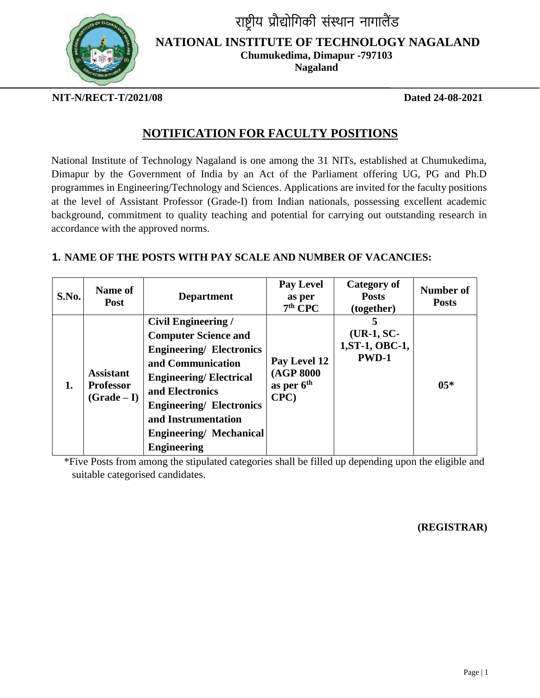

राष्ट्रीय प्रौद्योगिकी संस्थान नागालैंड

**NATIONAL INSTITUTE OF TECHNOLOGY NAGALAND**

**Chumukedima, Dimapur -797103**

**Nagaland**   $\overline{a}$ 

**NIT-N/RECT-T/2021/08 Dated 24-08-2021**

# **NOTIFICATION FOR FACULTY POSITIONS**

National Institute of Technology Nagaland is one among the 31 NITs, established at Chumukedima, Dimapur by the Government of India by an Act of the Parliament offering UG, PG and Ph.D programmes in Engineering/Technology and Sciences. Applications are invited for the faculty positions at the level of Assistant Professor (Grade-I) from Indian nationals, possessing excellent academic background, commitment to quality teaching and potential for carrying out outstanding research in accordance with the approved norms.

### **1. NAME OF THE POSTS WITH PAY SCALE AND NUMBER OF VACANCIES:**

| S.No. | <b>Name of</b><br><b>Post</b>                       | <b>Department</b>                                                                                                                                                                                                                                                                      | <b>Pay Level</b><br>as per<br>$7th$ CPC                    | <b>Category of</b><br><b>Posts</b><br>(together) | Number of<br><b>Posts</b> |
|-------|-----------------------------------------------------|----------------------------------------------------------------------------------------------------------------------------------------------------------------------------------------------------------------------------------------------------------------------------------------|------------------------------------------------------------|--------------------------------------------------|---------------------------|
| 1.    | <b>Assistant</b><br><b>Professor</b><br>$(Grade-I)$ | <b>Civil Engineering /</b><br><b>Computer Science and</b><br><b>Engineering/ Electronics</b><br>and Communication<br><b>Engineering/Electrical</b><br>and Electronics<br><b>Engineering/ Electronics</b><br>and Instrumentation<br><b>Engineering/Mechanical</b><br><b>Engineering</b> | Pay Level 12<br>(AGP 8000<br>as per 6 <sup>th</sup><br>CPC | $(UR-1, SC-$<br>1, ST-1, OBC-1,<br><b>PWD-1</b>  | $05*$                     |

\*Five Posts from among the stipulated categories shall be filled up depending upon the eligible and suitable categorised candidates.

### **(REGISTRAR)**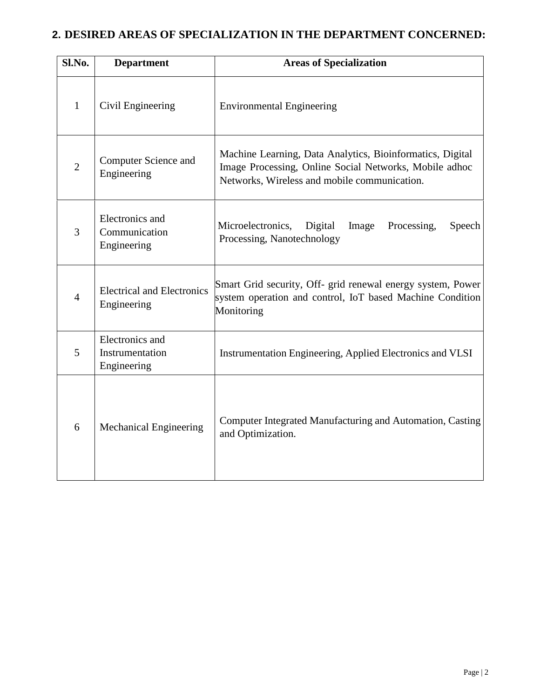## **2. DESIRED AREAS OF SPECIALIZATION IN THE DEPARTMENT CONCERNED:**

| Sl.No.         | <b>Department</b>                                 | <b>Areas of Specialization</b>                                                                                                                                      |  |  |
|----------------|---------------------------------------------------|---------------------------------------------------------------------------------------------------------------------------------------------------------------------|--|--|
| $\mathbf{1}$   | Civil Engineering                                 | <b>Environmental Engineering</b>                                                                                                                                    |  |  |
| $\overline{2}$ | <b>Computer Science and</b><br>Engineering        | Machine Learning, Data Analytics, Bioinformatics, Digital<br>Image Processing, Online Social Networks, Mobile adhoc<br>Networks, Wireless and mobile communication. |  |  |
| 3              | Electronics and<br>Communication<br>Engineering   | Microelectronics,<br>Digital<br>Image<br>Processing,<br>Speech<br>Processing, Nanotechnology                                                                        |  |  |
| $\overline{4}$ | <b>Electrical and Electronics</b><br>Engineering  | Smart Grid security, Off- grid renewal energy system, Power<br>system operation and control, IoT based Machine Condition<br>Monitoring                              |  |  |
| 5              | Electronics and<br>Instrumentation<br>Engineering | Instrumentation Engineering, Applied Electronics and VLSI                                                                                                           |  |  |
| 6              | <b>Mechanical Engineering</b>                     | Computer Integrated Manufacturing and Automation, Casting<br>and Optimization.                                                                                      |  |  |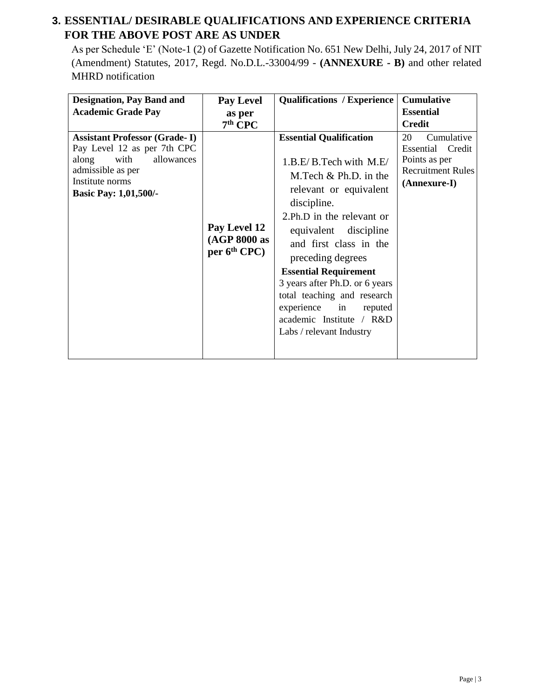## **3. ESSENTIAL/ DESIRABLE QUALIFICATIONS AND EXPERIENCE CRITERIA FOR THE ABOVE POST ARE AS UNDER**

As per Schedule 'E' (Note-1 (2) of Gazette Notification No. 651 New Delhi, July 24, 2017 of NIT (Amendment) Statutes, 2017, Regd. No.D.L.-33004/99 - **(ANNEXURE - B)** and other related MHRD notification

| <b>Designation, Pay Band and</b>                                                                                                                                           | <b>Pay Level</b>                               | <b>Qualifications / Experience</b>                                                                                                                                                                                                                                                                                                                                                                                      | <b>Cumulative</b>                                                                                 |
|----------------------------------------------------------------------------------------------------------------------------------------------------------------------------|------------------------------------------------|-------------------------------------------------------------------------------------------------------------------------------------------------------------------------------------------------------------------------------------------------------------------------------------------------------------------------------------------------------------------------------------------------------------------------|---------------------------------------------------------------------------------------------------|
| <b>Academic Grade Pay</b>                                                                                                                                                  | as per                                         |                                                                                                                                                                                                                                                                                                                                                                                                                         | <b>Essential</b>                                                                                  |
|                                                                                                                                                                            | $7th$ CPC                                      |                                                                                                                                                                                                                                                                                                                                                                                                                         | <b>Credit</b>                                                                                     |
| <b>Assistant Professor (Grade-I)</b><br>Pay Level 12 as per 7th CPC<br>allowances<br>with<br>along<br>admissible as per<br>Institute norms<br><b>Basic Pay: 1,01,500/-</b> | Pay Level 12<br>(AGP 8000 as<br>$per 6th$ CPC) | <b>Essential Qualification</b><br>1.B.E/B.Tech with M.E/<br>M. Tech $& Ph.D.$ in the<br>relevant or equivalent<br>discipline.<br>2.Ph.D in the relevant or<br>equivalent discipline<br>and first class in the<br>preceding degrees<br><b>Essential Requirement</b><br>3 years after Ph.D. or 6 years<br>total teaching and research<br>experience in<br>reputed<br>academic Institute / R&D<br>Labs / relevant Industry | 20<br>Cumulative<br>Essential Credit<br>Points as per<br><b>Recruitment Rules</b><br>(Annexure-I) |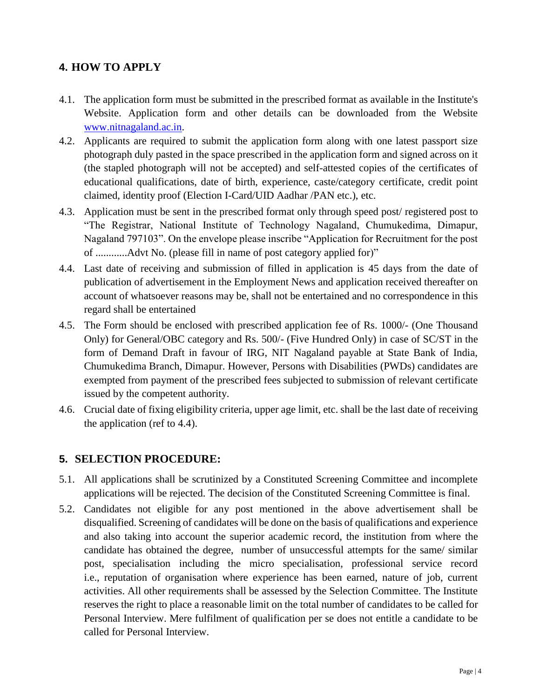## **4. HOW TO APPLY**

- 4.1. The application form must be submitted in the prescribed format as available in the Institute's Website. Application form and other details can be downloaded from the Website [www.nitnagaland.ac.in.](http://www.nitnagaland.ac.in/)
- 4.2. Applicants are required to submit the application form along with one latest passport size photograph duly pasted in the space prescribed in the application form and signed across on it (the stapled photograph will not be accepted) and self-attested copies of the certificates of educational qualifications, date of birth, experience, caste/category certificate, credit point claimed, identity proof (Election I-Card/UID Aadhar /PAN etc.), etc.
- 4.3. Application must be sent in the prescribed format only through speed post/ registered post to "The Registrar, National Institute of Technology Nagaland, Chumukedima, Dimapur, Nagaland 797103". On the envelope please inscribe "Application for Recruitment for the post of ............Advt No. (please fill in name of post category applied for)"
- 4.4. Last date of receiving and submission of filled in application is 45 days from the date of publication of advertisement in the Employment News and application received thereafter on account of whatsoever reasons may be, shall not be entertained and no correspondence in this regard shall be entertained
- 4.5. The Form should be enclosed with prescribed application fee of Rs. 1000/- (One Thousand Only) for General/OBC category and Rs. 500/- (Five Hundred Only) in case of SC/ST in the form of Demand Draft in favour of IRG, NIT Nagaland payable at State Bank of India, Chumukedima Branch, Dimapur. However, Persons with Disabilities (PWDs) candidates are exempted from payment of the prescribed fees subjected to submission of relevant certificate issued by the competent authority.
- 4.6. Crucial date of fixing eligibility criteria, upper age limit, etc. shall be the last date of receiving the application (ref to 4.4).

#### **5. SELECTION PROCEDURE:**

- 5.1. All applications shall be scrutinized by a Constituted Screening Committee and incomplete applications will be rejected. The decision of the Constituted Screening Committee is final.
- 5.2. Candidates not eligible for any post mentioned in the above advertisement shall be disqualified. Screening of candidates will be done on the basis of qualifications and experience and also taking into account the superior academic record, the institution from where the candidate has obtained the degree, number of unsuccessful attempts for the same/ similar post, specialisation including the micro specialisation, professional service record i.e., reputation of organisation where experience has been earned, nature of job, current activities. All other requirements shall be assessed by the Selection Committee. The Institute reserves the right to place a reasonable limit on the total number of candidates to be called for Personal Interview. Mere fulfilment of qualification per se does not entitle a candidate to be called for Personal Interview.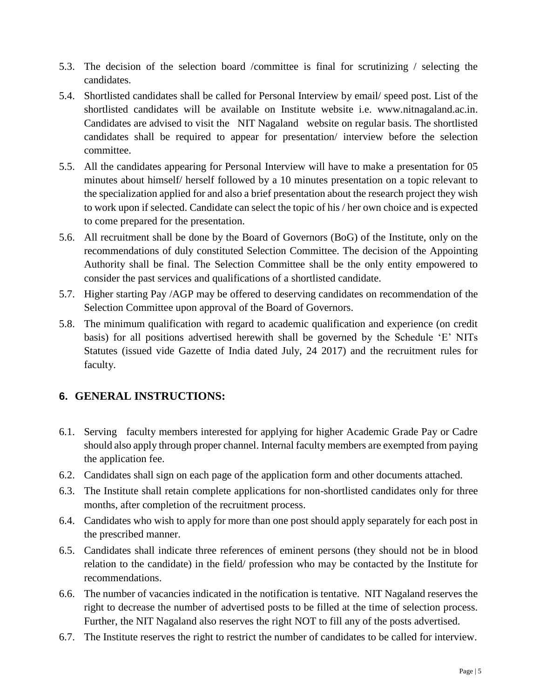- 5.3. The decision of the selection board /committee is final for scrutinizing / selecting the candidates.
- 5.4. Shortlisted candidates shall be called for Personal Interview by email/ speed post. List of the shortlisted candidates will be available on Institute website i.e. [www.nitnagaland.ac.in.](http://www.nitnagaland.ac.in/) Candidates are advised to visit the NIT Nagaland website on regular basis. The shortlisted candidates shall be required to appear for presentation/ interview before the selection committee.
- 5.5. All the candidates appearing for Personal Interview will have to make a presentation for 05 minutes about himself/ herself followed by a 10 minutes presentation on a topic relevant to the specialization applied for and also a brief presentation about the research project they wish to work upon if selected. Candidate can select the topic of his / her own choice and is expected to come prepared for the presentation.
- 5.6. All recruitment shall be done by the Board of Governors (BoG) of the Institute, only on the recommendations of duly constituted Selection Committee. The decision of the Appointing Authority shall be final. The Selection Committee shall be the only entity empowered to consider the past services and qualifications of a shortlisted candidate.
- 5.7. Higher starting Pay /AGP may be offered to deserving candidates on recommendation of the Selection Committee upon approval of the Board of Governors.
- 5.8. The minimum qualification with regard to academic qualification and experience (on credit basis) for all positions advertised herewith shall be governed by the Schedule 'E' NITs Statutes (issued vide Gazette of India dated July, 24 2017) and the recruitment rules for faculty.

## **6. GENERAL INSTRUCTIONS:**

- 6.1. Serving faculty members interested for applying for higher Academic Grade Pay or Cadre should also apply through proper channel. Internal faculty members are exempted from paying the application fee.
- 6.2. Candidates shall sign on each page of the application form and other documents attached.
- 6.3. The Institute shall retain complete applications for non-shortlisted candidates only for three months, after completion of the recruitment process.
- 6.4. Candidates who wish to apply for more than one post should apply separately for each post in the prescribed manner.
- 6.5. Candidates shall indicate three references of eminent persons (they should not be in blood relation to the candidate) in the field/ profession who may be contacted by the Institute for recommendations.
- 6.6. The number of vacancies indicated in the notification is tentative. NIT Nagaland reserves the right to decrease the number of advertised posts to be filled at the time of selection process. Further, the NIT Nagaland also reserves the right NOT to fill any of the posts advertised.
- 6.7. The Institute reserves the right to restrict the number of candidates to be called for interview.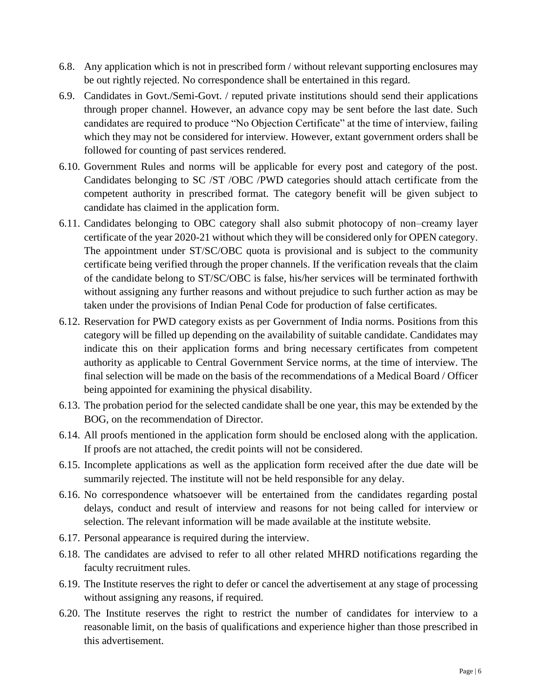- 6.8. Any application which is not in prescribed form / without relevant supporting enclosures may be out rightly rejected. No correspondence shall be entertained in this regard.
- 6.9. Candidates in Govt./Semi-Govt. / reputed private institutions should send their applications through proper channel. However, an advance copy may be sent before the last date. Such candidates are required to produce "No Objection Certificate" at the time of interview, failing which they may not be considered for interview. However, extant government orders shall be followed for counting of past services rendered.
- 6.10. Government Rules and norms will be applicable for every post and category of the post. Candidates belonging to SC /ST /OBC /PWD categories should attach certificate from the competent authority in prescribed format. The category benefit will be given subject to candidate has claimed in the application form.
- 6.11. Candidates belonging to OBC category shall also submit photocopy of non–creamy layer certificate of the year 2020-21 without which they will be considered only for OPEN category. The appointment under ST/SC/OBC quota is provisional and is subject to the community certificate being verified through the proper channels. If the verification reveals that the claim of the candidate belong to ST/SC/OBC is false, his/her services will be terminated forthwith without assigning any further reasons and without prejudice to such further action as may be taken under the provisions of Indian Penal Code for production of false certificates.
- 6.12. Reservation for PWD category exists as per Government of India norms. Positions from this category will be filled up depending on the availability of suitable candidate. Candidates may indicate this on their application forms and bring necessary certificates from competent authority as applicable to Central Government Service norms, at the time of interview. The final selection will be made on the basis of the recommendations of a Medical Board / Officer being appointed for examining the physical disability.
- 6.13. The probation period for the selected candidate shall be one year, this may be extended by the BOG, on the recommendation of Director.
- 6.14. All proofs mentioned in the application form should be enclosed along with the application. If proofs are not attached, the credit points will not be considered.
- 6.15. Incomplete applications as well as the application form received after the due date will be summarily rejected. The institute will not be held responsible for any delay.
- 6.16. No correspondence whatsoever will be entertained from the candidates regarding postal delays, conduct and result of interview and reasons for not being called for interview or selection. The relevant information will be made available at the institute website.
- 6.17. Personal appearance is required during the interview.
- 6.18. The candidates are advised to refer to all other related MHRD notifications regarding the faculty recruitment rules.
- 6.19. The Institute reserves the right to defer or cancel the advertisement at any stage of processing without assigning any reasons, if required.
- 6.20. The Institute reserves the right to restrict the number of candidates for interview to a reasonable limit, on the basis of qualifications and experience higher than those prescribed in this advertisement.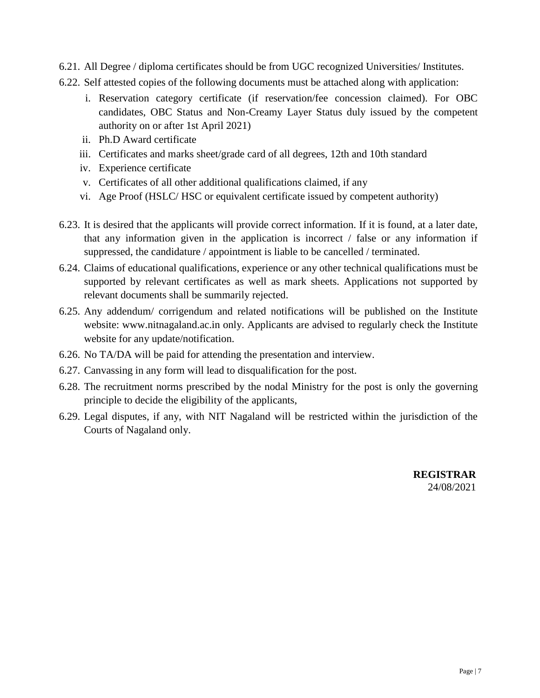- 6.21. All Degree / diploma certificates should be from UGC recognized Universities/ Institutes.
- 6.22. Self attested copies of the following documents must be attached along with application:
	- i. Reservation category certificate (if reservation/fee concession claimed). For OBC candidates, OBC Status and Non-Creamy Layer Status duly issued by the competent authority on or after 1st April 2021)
	- ii. Ph.D Award certificate
	- iii. Certificates and marks sheet/grade card of all degrees, 12th and 10th standard
	- iv. Experience certificate
	- v. Certificates of all other additional qualifications claimed, if any
	- vi. Age Proof (HSLC/ HSC or equivalent certificate issued by competent authority)
- 6.23. It is desired that the applicants will provide correct information. If it is found, at a later date, that any information given in the application is incorrect / false or any information if suppressed, the candidature / appointment is liable to be cancelled / terminated.
- 6.24. Claims of educational qualifications, experience or any other technical qualifications must be supported by relevant certificates as well as mark sheets. Applications not supported by relevant documents shall be summarily rejected.
- 6.25. Any addendum/ corrigendum and related notifications will be published on the Institute website: www.nitnagaland.ac.in only. Applicants are advised to regularly check the Institute website for any update/notification.
- 6.26. No TA/DA will be paid for attending the presentation and interview.
- 6.27. Canvassing in any form will lead to disqualification for the post.
- 6.28. The recruitment norms prescribed by the nodal Ministry for the post is only the governing principle to decide the eligibility of the applicants,
- 6.29. Legal disputes, if any, with NIT Nagaland will be restricted within the jurisdiction of the Courts of Nagaland only.

**REGISTRAR**  24/08/2021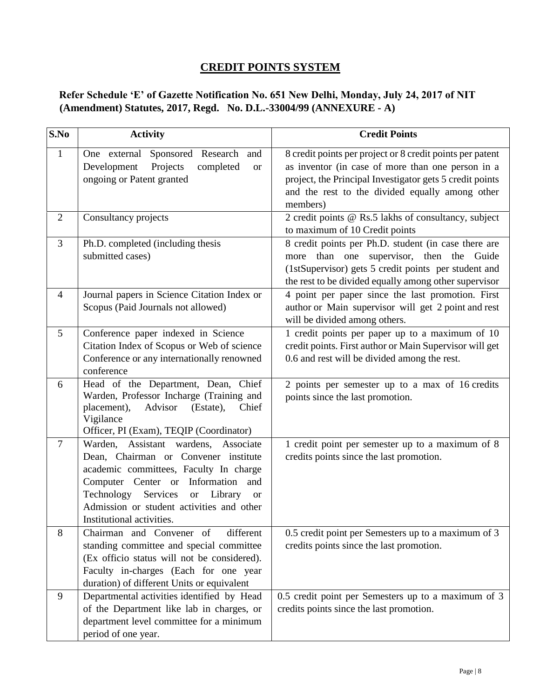## **CREDIT POINTS SYSTEM**

#### **Refer Schedule 'E' of Gazette Notification No. 651 New Delhi, Monday, July 24, 2017 of NIT (Amendment) Statutes, 2017, Regd. No. D.L.-33004/99 (ANNEXURE - A)**

| S.No           | <b>Activity</b>                                                                                                                                                                                                                                                                                          | <b>Credit Points</b>                                                                                                                                                                                                                      |
|----------------|----------------------------------------------------------------------------------------------------------------------------------------------------------------------------------------------------------------------------------------------------------------------------------------------------------|-------------------------------------------------------------------------------------------------------------------------------------------------------------------------------------------------------------------------------------------|
| $\mathbf{1}$   | One external Sponsored Research<br>and<br>Projects<br>Development<br>completed<br><b>or</b><br>ongoing or Patent granted                                                                                                                                                                                 | 8 credit points per project or 8 credit points per patent<br>as inventor (in case of more than one person in a<br>project, the Principal Investigator gets 5 credit points<br>and the rest to the divided equally among other<br>members) |
| $\overline{2}$ | Consultancy projects                                                                                                                                                                                                                                                                                     | 2 credit points @ Rs.5 lakhs of consultancy, subject<br>to maximum of 10 Credit points                                                                                                                                                    |
| 3              | Ph.D. completed (including thesis<br>submitted cases)                                                                                                                                                                                                                                                    | 8 credit points per Ph.D. student (in case there are<br>more than one supervisor, then the Guide<br>(1stSupervisor) gets 5 credit points per student and<br>the rest to be divided equally among other supervisor                         |
| $\overline{4}$ | Journal papers in Science Citation Index or<br>Scopus (Paid Journals not allowed)                                                                                                                                                                                                                        | 4 point per paper since the last promotion. First<br>author or Main supervisor will get 2 point and rest<br>will be divided among others.                                                                                                 |
| 5              | Conference paper indexed in Science<br>Citation Index of Scopus or Web of science<br>Conference or any internationally renowned<br>conference                                                                                                                                                            | 1 credit points per paper up to a maximum of 10<br>credit points. First author or Main Supervisor will get<br>0.6 and rest will be divided among the rest.                                                                                |
| 6              | Head of the Department, Dean, Chief<br>Warden, Professor Incharge (Training and<br>placement),<br>Advisor<br>Chief<br>(Estate),<br>Vigilance<br>Officer, PI (Exam), TEQIP (Coordinator)                                                                                                                  | 2 points per semester up to a max of 16 credits<br>points since the last promotion.                                                                                                                                                       |
| $\tau$         | Warden, Assistant wardens, Associate<br>Dean, Chairman or Convener institute<br>academic committees, Faculty In charge<br>Computer Center or Information<br>and<br>Technology<br>Services<br>Library<br><b>or</b><br><b>or</b><br>Admission or student activities and other<br>Institutional activities. | 1 credit point per semester up to a maximum of 8<br>credits points since the last promotion.                                                                                                                                              |
| 8              | different<br>Chairman and Convener of<br>standing committee and special committee<br>(Ex officio status will not be considered).<br>Faculty in-charges (Each for one year<br>duration) of different Units or equivalent                                                                                  | 0.5 credit point per Semesters up to a maximum of 3<br>credits points since the last promotion.                                                                                                                                           |
| 9              | Departmental activities identified by Head<br>of the Department like lab in charges, or<br>department level committee for a minimum<br>period of one year.                                                                                                                                               | 0.5 credit point per Semesters up to a maximum of 3<br>credits points since the last promotion.                                                                                                                                           |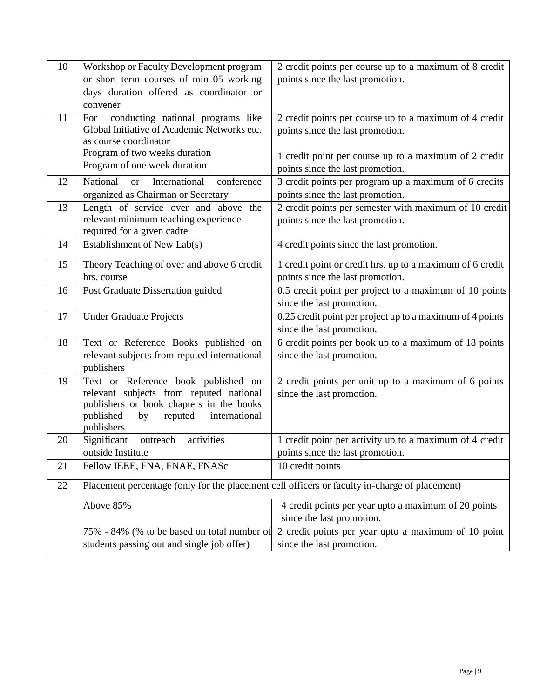| 10 | Workshop or Faculty Development program<br>or short term courses of min 05 working                                                                                                      | 2 credit points per course up to a maximum of 8 credit<br>points since the last promotion.    |
|----|-----------------------------------------------------------------------------------------------------------------------------------------------------------------------------------------|-----------------------------------------------------------------------------------------------|
|    | days duration offered as coordinator or<br>convener                                                                                                                                     |                                                                                               |
| 11 | conducting national programs like<br>For<br>Global Initiative of Academic Networks etc.<br>as course coordinator                                                                        | 2 credit points per course up to a maximum of 4 credit<br>points since the last promotion.    |
|    | Program of two weeks duration<br>Program of one week duration                                                                                                                           | 1 credit point per course up to a maximum of 2 credit<br>points since the last promotion.     |
| 12 | National<br>International<br><b>or</b><br>conference<br>organized as Chairman or Secretary                                                                                              | 3 credit points per program up a maximum of 6 credits<br>points since the last promotion.     |
| 13 | Length of service over and above the<br>relevant minimum teaching experience<br>required for a given cadre                                                                              | 2 credit points per semester with maximum of 10 credit<br>points since the last promotion.    |
| 14 | Establishment of New Lab(s)                                                                                                                                                             | 4 credit points since the last promotion.                                                     |
| 15 | Theory Teaching of over and above 6 credit<br>hrs. course                                                                                                                               | 1 credit point or credit hrs. up to a maximum of 6 credit<br>points since the last promotion. |
| 16 | Post Graduate Dissertation guided                                                                                                                                                       | 0.5 credit point per project to a maximum of 10 points<br>since the last promotion.           |
| 17 | <b>Under Graduate Projects</b>                                                                                                                                                          | 0.25 credit point per project up to a maximum of 4 points<br>since the last promotion.        |
| 18 | Text or Reference Books published on<br>relevant subjects from reputed international<br>publishers                                                                                      | 6 credit points per book up to a maximum of 18 points<br>since the last promotion.            |
| 19 | Text or Reference book published on<br>relevant subjects from reputed national<br>publishers or book chapters in the books<br>published<br>by<br>reputed<br>international<br>publishers | 2 credit points per unit up to a maximum of 6 points<br>since the last promotion.             |
| 20 | outreach<br>Significant<br>activities<br>outside Institute                                                                                                                              | 1 credit point per activity up to a maximum of 4 credit<br>points since the last promotion.   |
| 21 | Fellow IEEE, FNA, FNAE, FNASc                                                                                                                                                           | 10 credit points                                                                              |
| 22 | Placement percentage (only for the placement cell officers or faculty in-charge of placement)                                                                                           |                                                                                               |
|    | Above 85%                                                                                                                                                                               | 4 credit points per year upto a maximum of 20 points<br>since the last promotion.             |
|    | 75% - 84% (% to be based on total number of                                                                                                                                             | 2 credit points per year upto a maximum of 10 point                                           |
|    | students passing out and single job offer)                                                                                                                                              | since the last promotion.                                                                     |